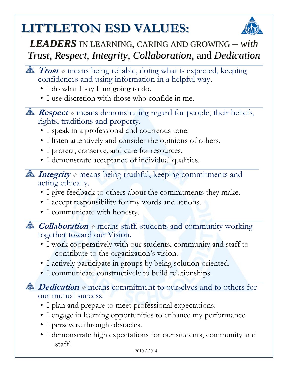## **LITTLETON ESD VALUES: '**



## *LEADERS* IN LEARNING, CARING AND GROWING *– with Trust*, *Respect*, *Integrity*, *Collaboration*, and *Dedication*

- $\hat{I}$  Trust  $*$  means being reliable, doing what is expected, keeping confidences and using information in a helpful way.
	- I do what I say I am going to do.
	- I use discretion with those who confide in me.
- **Respect**  $\ast$  means demonstrating regard for people, their beliefs, rights, traditions and property.
	- I speak in a professional and courteous tone.
	- I listen attentively and consider the opinions of others.
	- I protect, conserve, and care for resources.
	- I demonstrate acceptance of individual qualities.
- *Integrity* **means** being truthful, keeping commitments and acting ethically.
	- I give feedback to others about the commitments they make.
	- I accept responsibility for my words and actions.
	- I communicate with honesty.

**Collaboration means staff, students and community working** together toward our Vision.

- I work cooperatively with our students, community and staff to contribute to the organization's vision.
- I actively participate in groups by being solution oriented.
- I communicate constructively to build relationships.
- *Dedication* **means commitment to ourselves and to others for** our mutual success.
	- I plan and prepare to meet professional expectations.
	- I engage in learning opportunities to enhance my performance.
	- I persevere through obstacles.
	- I demonstrate high expectations for our students, community and staff.